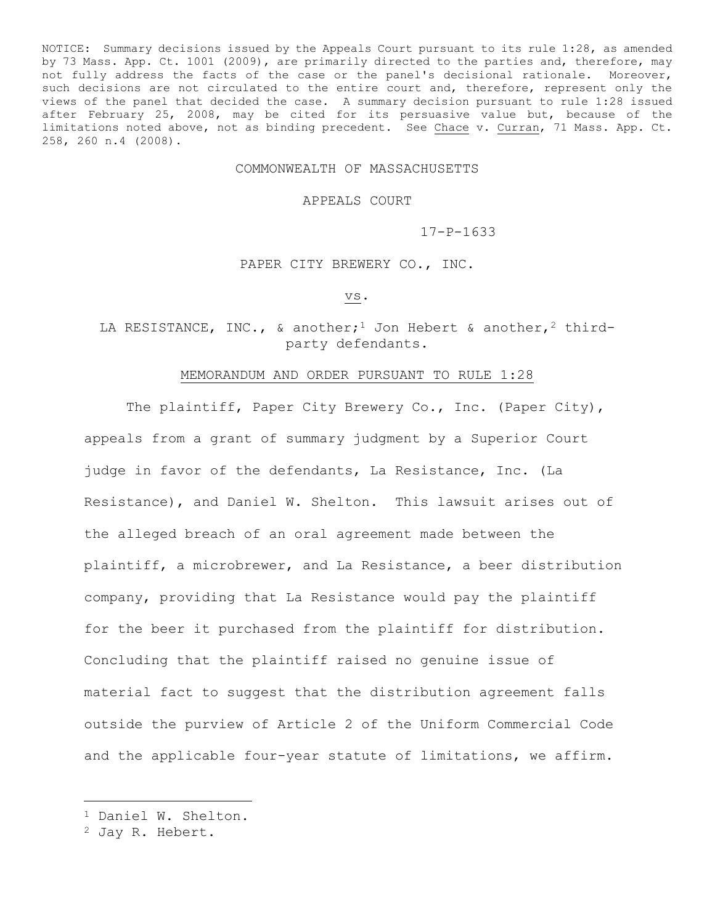NOTICE: Summary decisions issued by the Appeals Court pursuant to its rule 1:28, as amended by 73 Mass. App. Ct. 1001 (2009), are primarily directed to the parties and, therefore, may not fully address the facts of the case or the panel's decisional rationale. Moreover, such decisions are not circulated to the entire court and, therefore, represent only the views of the panel that decided the case. A summary decision pursuant to rule 1:28 issued after February 25, 2008, may be cited for its persuasive value but, because of the limitations noted above, not as binding precedent. See Chace v. Curran, 71 Mass. App. Ct. 258, 260 n.4 (2008).

## COMMONWEALTH OF MASSACHUSETTS

APPEALS COURT

17-P-1633

PAPER CITY BREWERY CO., INC.

vs.

LA RESISTANCE, INC., & another;<sup>1</sup> Jon Hebert & another,<sup>2</sup> thirdparty defendants.

## MEMORANDUM AND ORDER PURSUANT TO RULE 1:28

The plaintiff, Paper City Brewery Co., Inc. (Paper City), appeals from a grant of summary judgment by a Superior Court judge in favor of the defendants, La Resistance, Inc. (La Resistance), and Daniel W. Shelton. This lawsuit arises out of the alleged breach of an oral agreement made between the plaintiff, a microbrewer, and La Resistance, a beer distribution company, providing that La Resistance would pay the plaintiff for the beer it purchased from the plaintiff for distribution. Concluding that the plaintiff raised no genuine issue of material fact to suggest that the distribution agreement falls outside the purview of Article 2 of the Uniform Commercial Code and the applicable four-year statute of limitations, we affirm.

÷.

<sup>1</sup> Daniel W. Shelton.

<sup>2</sup> Jay R. Hebert.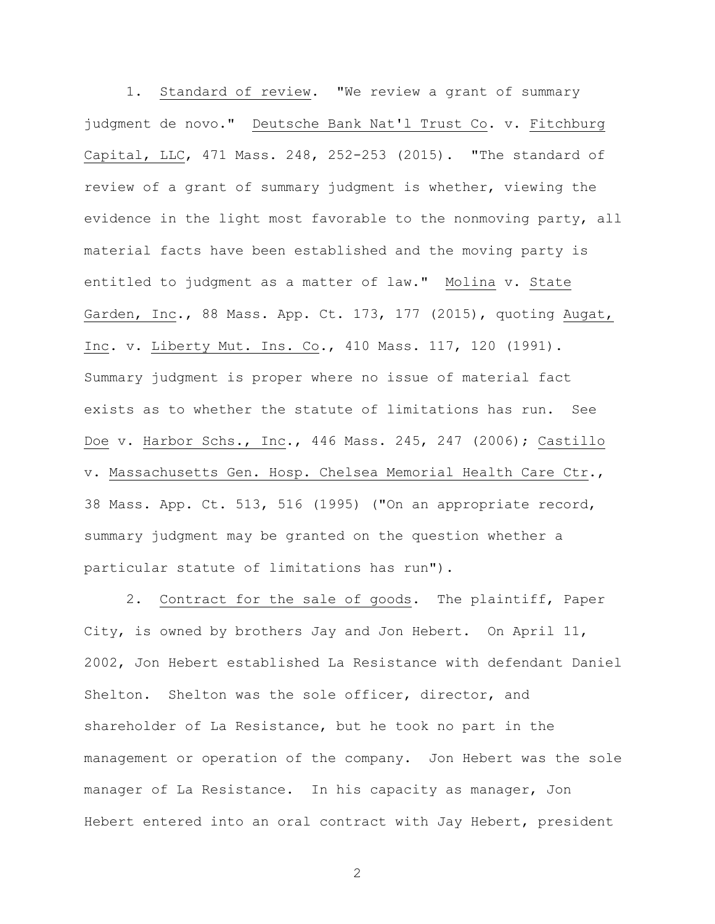1. Standard of review. "We review a grant of summary judgment de novo." Deutsche Bank Nat'l Trust Co. v. Fitchburg Capital, LLC, 471 Mass. 248, 252-253 (2015). "The standard of review of a grant of summary judgment is whether, viewing the evidence in the light most favorable to the nonmoving party, all material facts have been established and the moving party is entitled to judgment as a matter of law." Molina v. State Garden, Inc., 88 Mass. App. Ct. 173, 177 (2015), quoting Augat, Inc. v. Liberty Mut. Ins. Co., 410 Mass. 117, 120 (1991). Summary judgment is proper where no issue of material fact exists as to whether the statute of limitations has run. See Doe v. Harbor Schs., Inc., 446 Mass. 245, 247 (2006); Castillo v. Massachusetts Gen. Hosp. Chelsea Memorial Health Care Ctr., 38 Mass. App. Ct. 513, 516 (1995) ("On an appropriate record, summary judgment may be granted on the question whether a particular statute of limitations has run").

2. Contract for the sale of goods. The plaintiff, Paper City, is owned by brothers Jay and Jon Hebert. On April 11, 2002, Jon Hebert established La Resistance with defendant Daniel Shelton. Shelton was the sole officer, director, and shareholder of La Resistance, but he took no part in the management or operation of the company. Jon Hebert was the sole manager of La Resistance. In his capacity as manager, Jon Hebert entered into an oral contract with Jay Hebert, president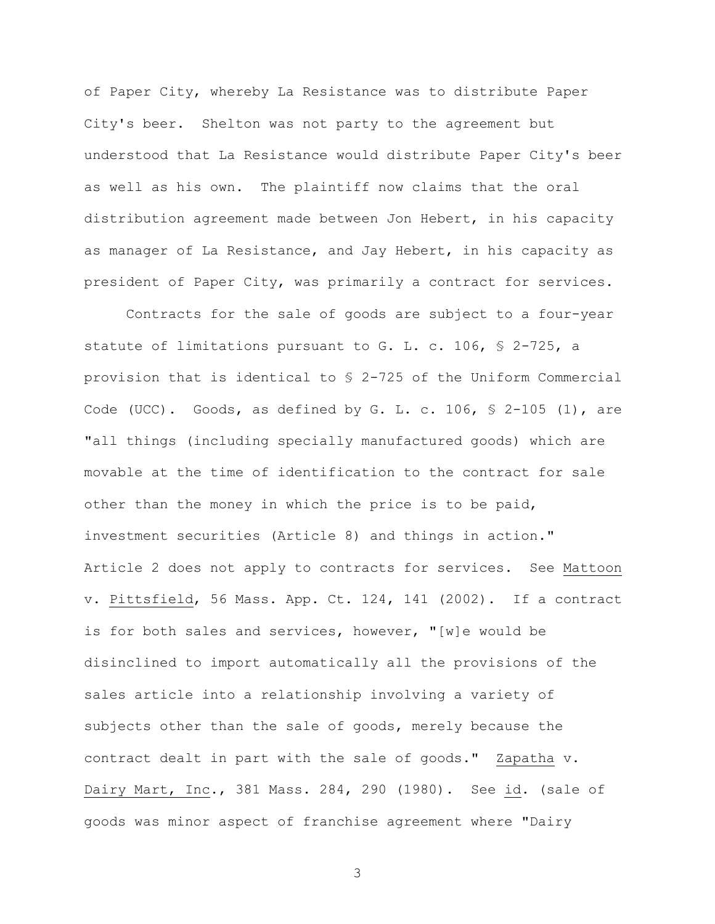of Paper City, whereby La Resistance was to distribute Paper City's beer. Shelton was not party to the agreement but understood that La Resistance would distribute Paper City's beer as well as his own. The plaintiff now claims that the oral distribution agreement made between Jon Hebert, in his capacity as manager of La Resistance, and Jay Hebert, in his capacity as president of Paper City, was primarily a contract for services.

Contracts for the sale of goods are subject to a four-year statute of limitations pursuant to G. L. c. 106, § 2-725, a provision that is identical to § 2-725 of the Uniform Commercial Code (UCC). Goods, as defined by G. L. c. 106,  $\frac{1}{5}$  2-105 (1), are "all things (including specially manufactured goods) which are movable at the time of identification to the contract for sale other than the money in which the price is to be paid, investment securities (Article 8) and things in action." Article 2 does not apply to contracts for services. See Mattoon v. Pittsfield, 56 Mass. App. Ct. 124, 141 (2002). If a contract is for both sales and services, however, "[w]e would be disinclined to import automatically all the provisions of the sales article into a relationship involving a variety of subjects other than the sale of goods, merely because the contract dealt in part with the sale of goods." Zapatha v. Dairy Mart, Inc., 381 Mass. 284, 290 (1980). See id. (sale of goods was minor aspect of franchise agreement where "Dairy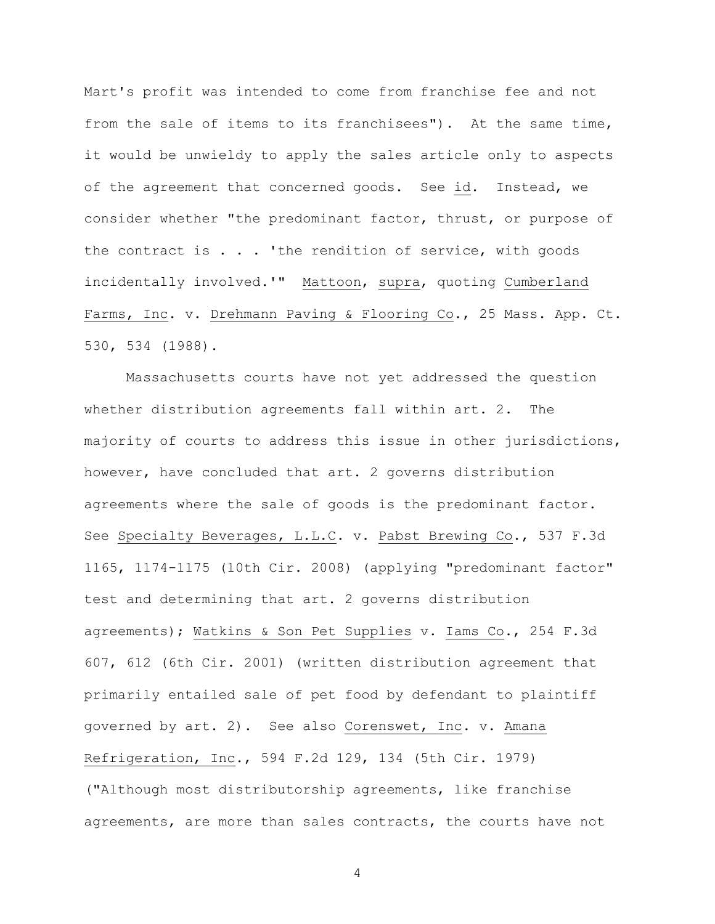Mart's profit was intended to come from franchise fee and not from the sale of items to its franchisees"). At the same time, it would be unwieldy to apply the sales article only to aspects of the agreement that concerned goods. See id. Instead, we consider whether "the predominant factor, thrust, or purpose of the contract is  $\ldots$  'the rendition of service, with goods incidentally involved.'" Mattoon, supra, quoting Cumberland Farms, Inc. v. Drehmann Paving & Flooring Co., 25 Mass. App. Ct. 530, 534 (1988).

Massachusetts courts have not yet addressed the question whether distribution agreements fall within art. 2. The majority of courts to address this issue in other jurisdictions, however, have concluded that art. 2 governs distribution agreements where the sale of goods is the predominant factor. See Specialty Beverages, L.L.C. v. Pabst Brewing Co., 537 F.3d 1165, 1174-1175 (10th Cir. 2008) (applying "predominant factor" test and determining that art. 2 governs distribution agreements); Watkins & Son Pet Supplies v. Iams Co., 254 F.3d 607, 612 (6th Cir. 2001) (written distribution agreement that primarily entailed sale of pet food by defendant to plaintiff governed by art. 2). See also Corenswet, Inc. v. Amana Refrigeration, Inc., 594 F.2d 129, 134 (5th Cir. 1979) ("Although most distributorship agreements, like franchise agreements, are more than sales contracts, the courts have not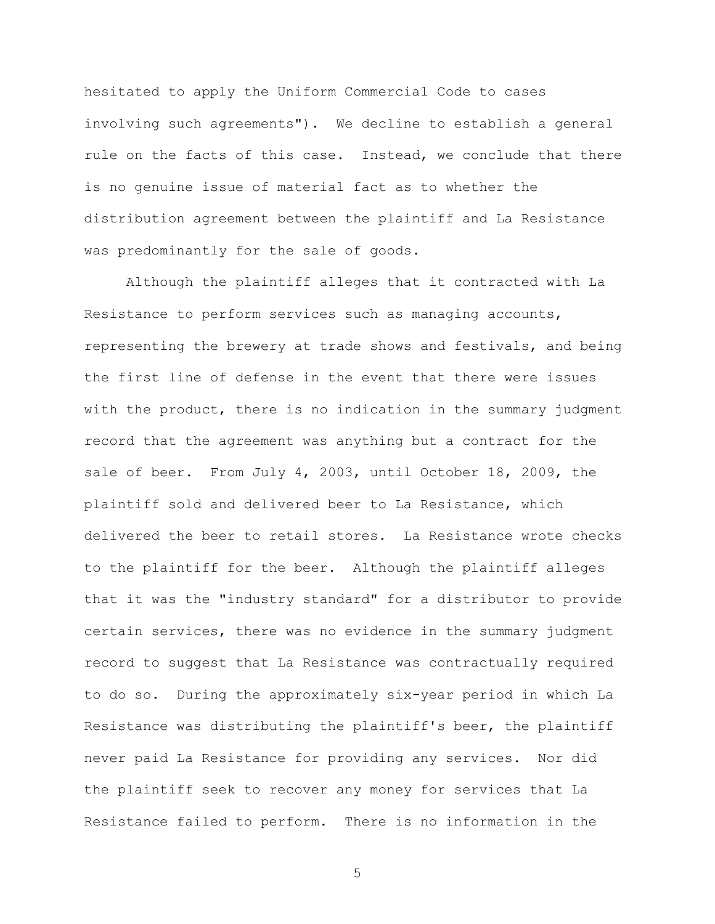hesitated to apply the Uniform Commercial Code to cases involving such agreements"). We decline to establish a general rule on the facts of this case. Instead, we conclude that there is no genuine issue of material fact as to whether the distribution agreement between the plaintiff and La Resistance was predominantly for the sale of goods.

Although the plaintiff alleges that it contracted with La Resistance to perform services such as managing accounts, representing the brewery at trade shows and festivals, and being the first line of defense in the event that there were issues with the product, there is no indication in the summary judgment record that the agreement was anything but a contract for the sale of beer. From July 4, 2003, until October 18, 2009, the plaintiff sold and delivered beer to La Resistance, which delivered the beer to retail stores. La Resistance wrote checks to the plaintiff for the beer. Although the plaintiff alleges that it was the "industry standard" for a distributor to provide certain services, there was no evidence in the summary judgment record to suggest that La Resistance was contractually required to do so. During the approximately six-year period in which La Resistance was distributing the plaintiff's beer, the plaintiff never paid La Resistance for providing any services. Nor did the plaintiff seek to recover any money for services that La Resistance failed to perform. There is no information in the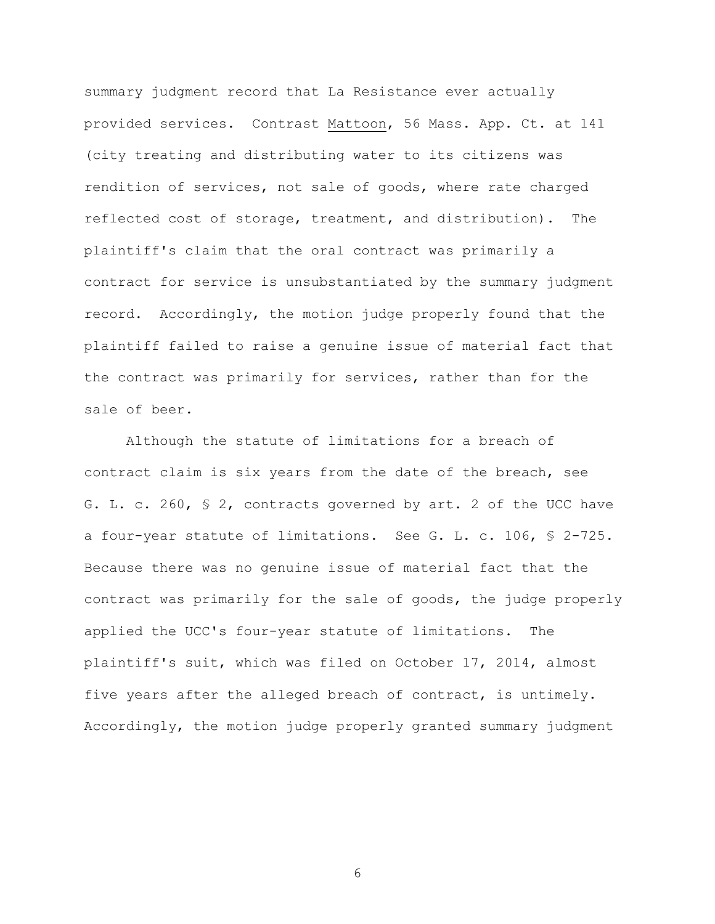summary judgment record that La Resistance ever actually provided services. Contrast Mattoon, 56 Mass. App. Ct. at 141 (city treating and distributing water to its citizens was rendition of services, not sale of goods, where rate charged reflected cost of storage, treatment, and distribution). The plaintiff's claim that the oral contract was primarily a contract for service is unsubstantiated by the summary judgment record. Accordingly, the motion judge properly found that the plaintiff failed to raise a genuine issue of material fact that the contract was primarily for services, rather than for the sale of beer.

Although the statute of limitations for a breach of contract claim is six years from the date of the breach, see G. L. c. 260, § 2, contracts governed by art. 2 of the UCC have a four-year statute of limitations. See G. L. c. 106, § 2-725. Because there was no genuine issue of material fact that the contract was primarily for the sale of goods, the judge properly applied the UCC's four-year statute of limitations. The plaintiff's suit, which was filed on October 17, 2014, almost five years after the alleged breach of contract, is untimely. Accordingly, the motion judge properly granted summary judgment